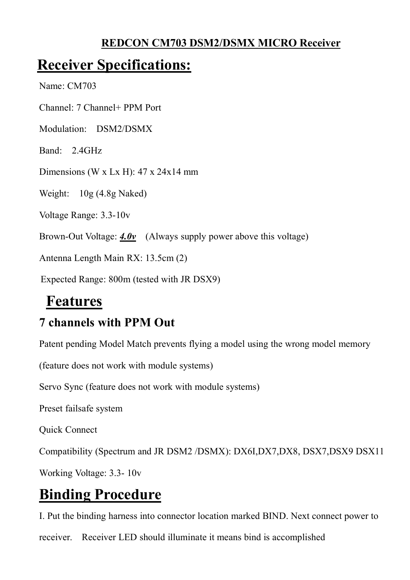### **REDCON CM703 DSM2/DSMX MICRO Receiver**

## **Receiver Specifications:**

Name: CM703

Channel: 7 Channel+ PPM Port

Modulation: DSM2/DSMX

Band: 2.4GHz

Dimensions (W x Lx H): 47 x 24x14 mm

Weight: 10g (4.8g Naked)

Voltage Range: 3.3-10v

Brown-Out Voltage: *4.0v* (Always supply power above this voltage)

Antenna Length Main RX: 13.5cm (2)

Expected Range: 800m (tested with JR DSX9)

## **Features**

### **7 channels with PPM Out**

Patent pending Model Match prevents flying a model using the wrong model memory

(feature does not work with module systems)

Servo Sync (feature does not work with module systems)

Preset failsafe system

Quick Connect

Compatibility (Spectrum and JR DSM2 /DSMX): DX6I,DX7,DX8, DSX7,DSX9 DSX11

Working Voltage: 3.3- 10v

# **Binding Procedure**

I. Put the binding harness into connector location marked BIND. Next connect power to

receiver. Receiver LED should illuminate it means bind is accomplished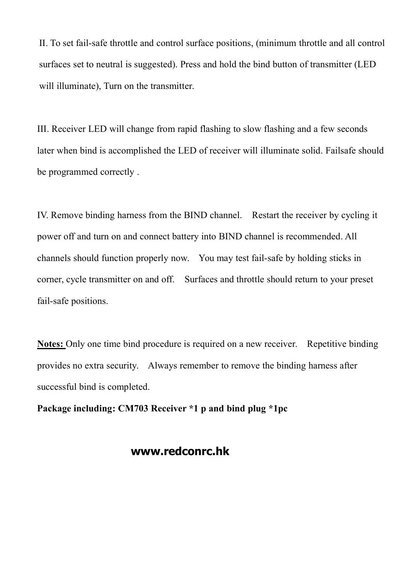II. To set fail-safe throttle and control surface positions, (minimum throttle and all control surfaces set to neutral is suggested). Press and hold the bind button of transmitter (LED will illuminate), Turn on the transmitter.

III. Receiver LED will change from rapid flashing to slow flashing and a few seconds later when bind is accomplished the LED of receiver will illuminate solid. Failsafe should be programmed correctly .

IV. Remove binding harness from the BIND channel. Restart the receiver by cycling it power off and turn on and connect battery into BIND channel is recommended. All channels should function properly now. You may test fail-safe by holding sticks in corner, cycle transmitter on and off. Surfaces and throttle should return to your preset fail-safe positions.

**Notes:** Only one time bind procedure is required on a new receiver. Repetitive binding provides no extra security. Always remember to remove the binding harness after successful bind is completed.

**Package including: CM703 Receiver \*1 p and bind plug \*1pc**

#### **www.redconrc.hk**